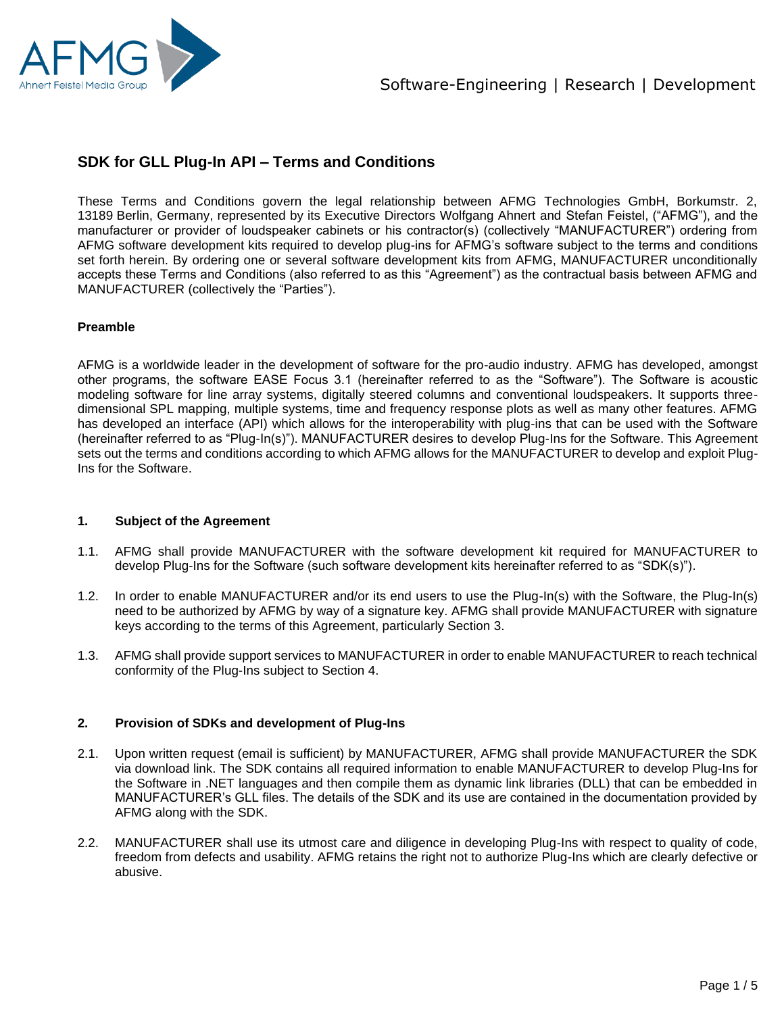

## **SDK for GLL Plug-In API – Terms and Conditions**

These Terms and Conditions govern the legal relationship between AFMG Technologies GmbH, Borkumstr. 2, 13189 Berlin, Germany, represented by its Executive Directors Wolfgang Ahnert and Stefan Feistel, ("AFMG"), and the manufacturer or provider of loudspeaker cabinets or his contractor(s) (collectively "MANUFACTURER") ordering from AFMG software development kits required to develop plug-ins for AFMG's software subject to the terms and conditions set forth herein. By ordering one or several software development kits from AFMG, MANUFACTURER unconditionally accepts these Terms and Conditions (also referred to as this "Agreement") as the contractual basis between AFMG and MANUFACTURER (collectively the "Parties").

#### **Preamble**

AFMG is a worldwide leader in the development of software for the pro-audio industry. AFMG has developed, amongst other programs, the software EASE Focus 3.1 (hereinafter referred to as the "Software"). The Software is acoustic modeling software for line array systems, digitally steered columns and conventional loudspeakers. It supports threedimensional SPL mapping, multiple systems, time and frequency response plots as well as many other features. AFMG has developed an interface (API) which allows for the interoperability with plug-ins that can be used with the Software (hereinafter referred to as "Plug-In(s)"). MANUFACTURER desires to develop Plug-Ins for the Software. This Agreement sets out the terms and conditions according to which AFMG allows for the MANUFACTURER to develop and exploit Plug-Ins for the Software.

#### **1. Subject of the Agreement**

- 1.1. AFMG shall provide MANUFACTURER with the software development kit required for MANUFACTURER to develop Plug-Ins for the Software (such software development kits hereinafter referred to as "SDK(s)").
- 1.2. In order to enable MANUFACTURER and/or its end users to use the Plug-In(s) with the Software, the Plug-In(s) need to be authorized by AFMG by way of a signature key. AFMG shall provide MANUFACTURER with signature keys according to the terms of this Agreement, particularly Section 3.
- 1.3. AFMG shall provide support services to MANUFACTURER in order to enable MANUFACTURER to reach technical conformity of the Plug-Ins subject to Section 4.

#### **2. Provision of SDKs and development of Plug-Ins**

- 2.1. Upon written request (email is sufficient) by MANUFACTURER, AFMG shall provide MANUFACTURER the SDK via download link. The SDK contains all required information to enable MANUFACTURER to develop Plug-Ins for the Software in .NET languages and then compile them as dynamic link libraries (DLL) that can be embedded in MANUFACTURER's GLL files. The details of the SDK and its use are contained in the documentation provided by AFMG along with the SDK.
- 2.2. MANUFACTURER shall use its utmost care and diligence in developing Plug-Ins with respect to quality of code, freedom from defects and usability. AFMG retains the right not to authorize Plug-Ins which are clearly defective or abusive.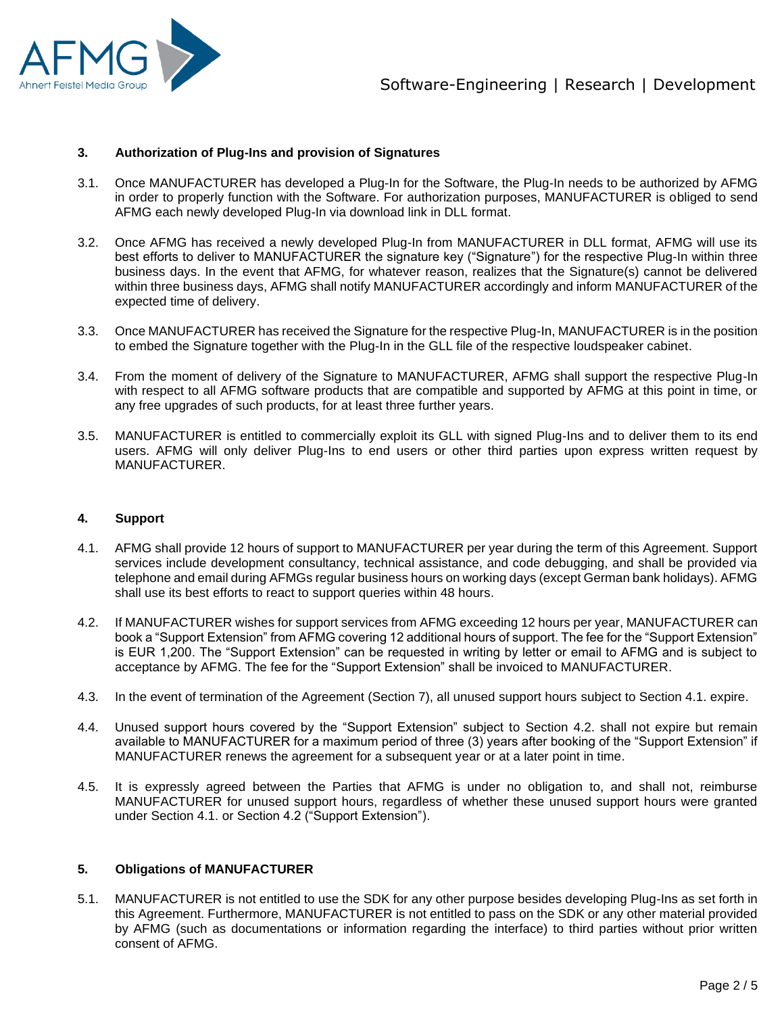

#### **3. Authorization of Plug-Ins and provision of Signatures**

- 3.1. Once MANUFACTURER has developed a Plug-In for the Software, the Plug-In needs to be authorized by AFMG in order to properly function with the Software. For authorization purposes, MANUFACTURER is obliged to send AFMG each newly developed Plug-In via download link in DLL format.
- 3.2. Once AFMG has received a newly developed Plug-In from MANUFACTURER in DLL format, AFMG will use its best efforts to deliver to MANUFACTURER the signature key ("Signature") for the respective Plug-In within three business days. In the event that AFMG, for whatever reason, realizes that the Signature(s) cannot be delivered within three business days, AFMG shall notify MANUFACTURER accordingly and inform MANUFACTURER of the expected time of delivery.
- 3.3. Once MANUFACTURER has received the Signature for the respective Plug-In, MANUFACTURER is in the position to embed the Signature together with the Plug-In in the GLL file of the respective loudspeaker cabinet.
- 3.4. From the moment of delivery of the Signature to MANUFACTURER, AFMG shall support the respective Plug-In with respect to all AFMG software products that are compatible and supported by AFMG at this point in time, or any free upgrades of such products, for at least three further years.
- 3.5. MANUFACTURER is entitled to commercially exploit its GLL with signed Plug-Ins and to deliver them to its end users. AFMG will only deliver Plug-Ins to end users or other third parties upon express written request by MANUFACTURER.

#### **4. Support**

- 4.1. AFMG shall provide 12 hours of support to MANUFACTURER per year during the term of this Agreement. Support services include development consultancy, technical assistance, and code debugging, and shall be provided via telephone and email during AFMGs regular business hours on working days (except German bank holidays). AFMG shall use its best efforts to react to support queries within 48 hours.
- 4.2. If MANUFACTURER wishes for support services from AFMG exceeding 12 hours per year, MANUFACTURER can book a "Support Extension" from AFMG covering 12 additional hours of support. The fee for the "Support Extension" is EUR 1,200. The "Support Extension" can be requested in writing by letter or email to AFMG and is subject to acceptance by AFMG. The fee for the "Support Extension" shall be invoiced to MANUFACTURER.
- 4.3. In the event of termination of the Agreement (Section 7), all unused support hours subject to Section 4.1. expire.
- 4.4. Unused support hours covered by the "Support Extension" subject to Section 4.2. shall not expire but remain available to MANUFACTURER for a maximum period of three (3) years after booking of the "Support Extension" if MANUFACTURER renews the agreement for a subsequent year or at a later point in time.
- 4.5. It is expressly agreed between the Parties that AFMG is under no obligation to, and shall not, reimburse MANUFACTURER for unused support hours, regardless of whether these unused support hours were granted under Section 4.1. or Section 4.2 ("Support Extension").

#### **5. Obligations of MANUFACTURER**

5.1. MANUFACTURER is not entitled to use the SDK for any other purpose besides developing Plug-Ins as set forth in this Agreement. Furthermore, MANUFACTURER is not entitled to pass on the SDK or any other material provided by AFMG (such as documentations or information regarding the interface) to third parties without prior written consent of AFMG.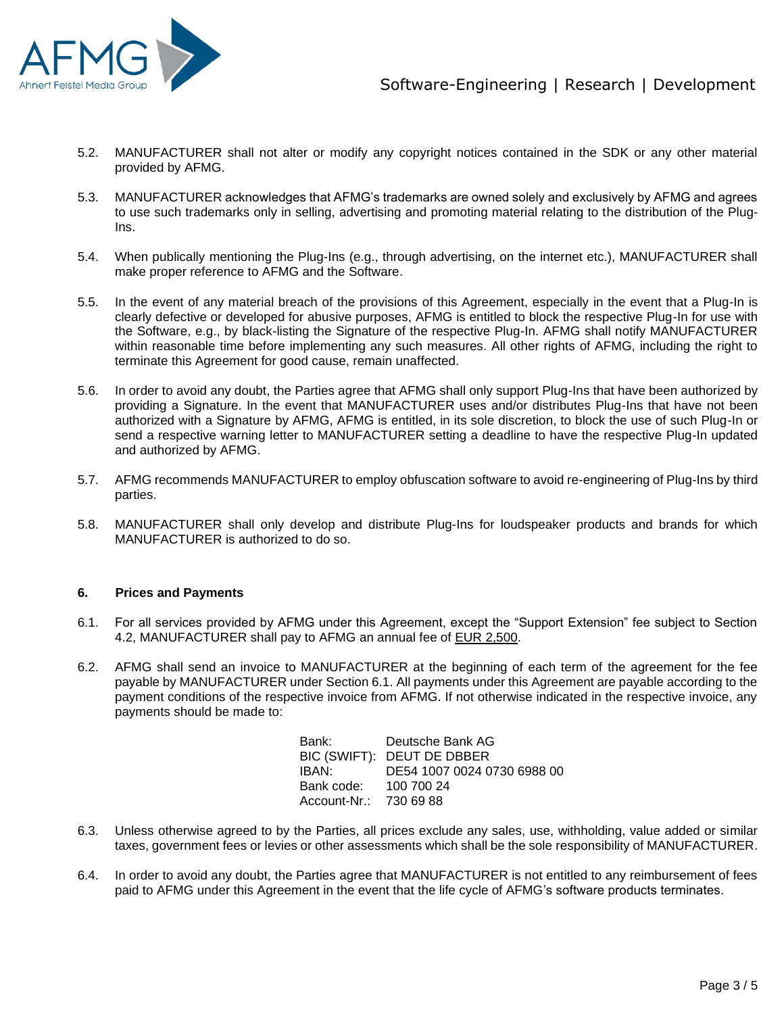

- 5.2. MANUFACTURER shall not alter or modify any copyright notices contained in the SDK or any other material provided by AFMG.
- 5.3. MANUFACTURER acknowledges that AFMG's trademarks are owned solely and exclusively by AFMG and agrees to use such trademarks only in selling, advertising and promoting material relating to the distribution of the Plug-Ins.
- 5.4. When publically mentioning the Plug-Ins (e.g., through advertising, on the internet etc.), MANUFACTURER shall make proper reference to AFMG and the Software.
- 5.5. In the event of any material breach of the provisions of this Agreement, especially in the event that a Plug-In is clearly defective or developed for abusive purposes, AFMG is entitled to block the respective Plug-In for use with the Software, e.g., by black-listing the Signature of the respective Plug-In. AFMG shall notify MANUFACTURER within reasonable time before implementing any such measures. All other rights of AFMG, including the right to terminate this Agreement for good cause, remain unaffected.
- 5.6. In order to avoid any doubt, the Parties agree that AFMG shall only support Plug-Ins that have been authorized by providing a Signature. In the event that MANUFACTURER uses and/or distributes Plug-Ins that have not been authorized with a Signature by AFMG, AFMG is entitled, in its sole discretion, to block the use of such Plug-In or send a respective warning letter to MANUFACTURER setting a deadline to have the respective Plug-In updated and authorized by AFMG.
- 5.7. AFMG recommends MANUFACTURER to employ obfuscation software to avoid re-engineering of Plug-Ins by third parties.
- 5.8. MANUFACTURER shall only develop and distribute Plug-Ins for loudspeaker products and brands for which MANUFACTURER is authorized to do so.

#### **6. Prices and Payments**

- 6.1. For all services provided by AFMG under this Agreement, except the "Support Extension" fee subject to Section 4.2, MANUFACTURER shall pay to AFMG an annual fee of EUR 2,500.
- 6.2. AFMG shall send an invoice to MANUFACTURER at the beginning of each term of the agreement for the fee payable by MANUFACTURER under Section 6.1. All payments under this Agreement are payable according to the payment conditions of the respective invoice from AFMG. If not otherwise indicated in the respective invoice, any payments should be made to:

| Bank:                  | Deutsche Bank AG            |
|------------------------|-----------------------------|
|                        | BIC (SWIFT): DEUT DE DBBER  |
| IBAN:                  | DE54 1007 0024 0730 6988 00 |
| Bank code:             | 100 700 24                  |
| Account-Nr.: 730 69 88 |                             |

- 6.3. Unless otherwise agreed to by the Parties, all prices exclude any sales, use, withholding, value added or similar taxes, government fees or levies or other assessments which shall be the sole responsibility of MANUFACTURER.
- 6.4. In order to avoid any doubt, the Parties agree that MANUFACTURER is not entitled to any reimbursement of fees paid to AFMG under this Agreement in the event that the life cycle of AFMG's software products terminates.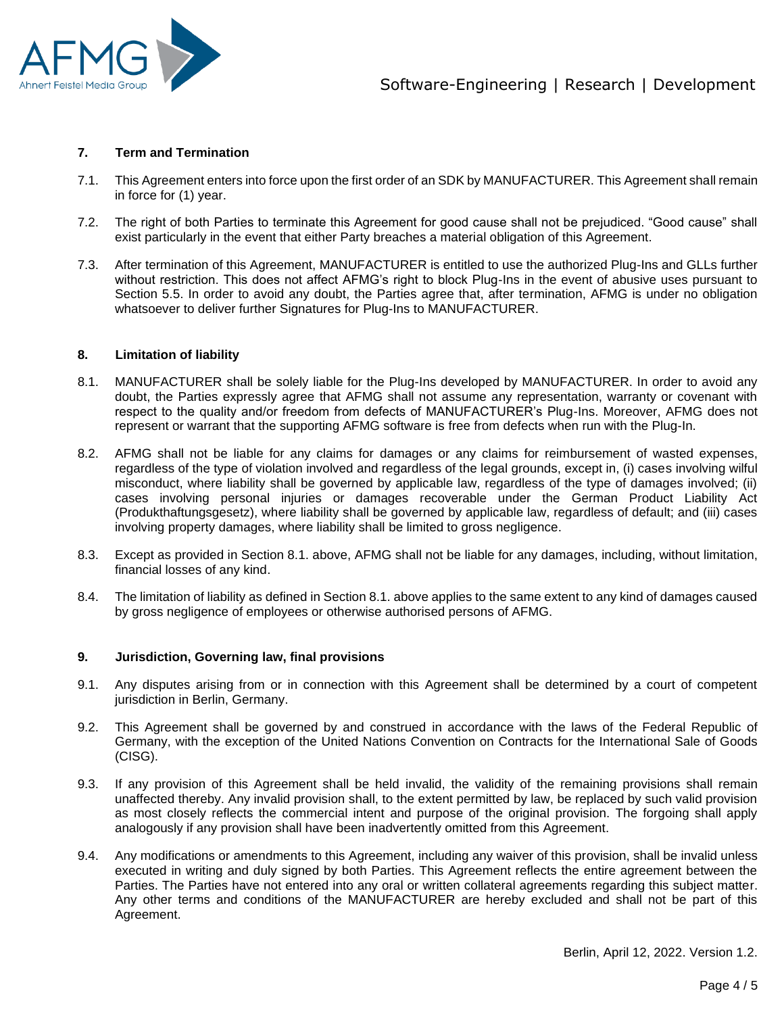

#### **7. Term and Termination**

- 7.1. This Agreement enters into force upon the first order of an SDK by MANUFACTURER. This Agreement shall remain in force for (1) year.
- 7.2. The right of both Parties to terminate this Agreement for good cause shall not be prejudiced. "Good cause" shall exist particularly in the event that either Party breaches a material obligation of this Agreement.
- 7.3. After termination of this Agreement, MANUFACTURER is entitled to use the authorized Plug-Ins and GLLs further without restriction. This does not affect AFMG's right to block Plug-Ins in the event of abusive uses pursuant to Section 5.5. In order to avoid any doubt, the Parties agree that, after termination, AFMG is under no obligation whatsoever to deliver further Signatures for Plug-Ins to MANUFACTURER.

### **8. Limitation of liability**

- 8.1. MANUFACTURER shall be solely liable for the Plug-Ins developed by MANUFACTURER. In order to avoid any doubt, the Parties expressly agree that AFMG shall not assume any representation, warranty or covenant with respect to the quality and/or freedom from defects of MANUFACTURER's Plug-Ins. Moreover, AFMG does not represent or warrant that the supporting AFMG software is free from defects when run with the Plug-In.
- 8.2. AFMG shall not be liable for any claims for damages or any claims for reimbursement of wasted expenses, regardless of the type of violation involved and regardless of the legal grounds, except in, (i) cases involving wilful misconduct, where liability shall be governed by applicable law, regardless of the type of damages involved; (ii) cases involving personal injuries or damages recoverable under the German Product Liability Act (Produkthaftungsgesetz), where liability shall be governed by applicable law, regardless of default; and (iii) cases involving property damages, where liability shall be limited to gross negligence.
- 8.3. Except as provided in Section 8.1. above, AFMG shall not be liable for any damages, including, without limitation, financial losses of any kind.
- 8.4. The limitation of liability as defined in Section 8.1. above applies to the same extent to any kind of damages caused by gross negligence of employees or otherwise authorised persons of AFMG.

#### **9. Jurisdiction, Governing law, final provisions**

- 9.1. Any disputes arising from or in connection with this Agreement shall be determined by a court of competent jurisdiction in Berlin, Germany.
- 9.2. This Agreement shall be governed by and construed in accordance with the laws of the Federal Republic of Germany, with the exception of the United Nations Convention on Contracts for the International Sale of Goods (CISG).
- 9.3. If any provision of this Agreement shall be held invalid, the validity of the remaining provisions shall remain unaffected thereby. Any invalid provision shall, to the extent permitted by law, be replaced by such valid provision as most closely reflects the commercial intent and purpose of the original provision. The forgoing shall apply analogously if any provision shall have been inadvertently omitted from this Agreement.
- 9.4. Any modifications or amendments to this Agreement, including any waiver of this provision, shall be invalid unless executed in writing and duly signed by both Parties. This Agreement reflects the entire agreement between the Parties. The Parties have not entered into any oral or written collateral agreements regarding this subject matter. Any other terms and conditions of the MANUFACTURER are hereby excluded and shall not be part of this Agreement.